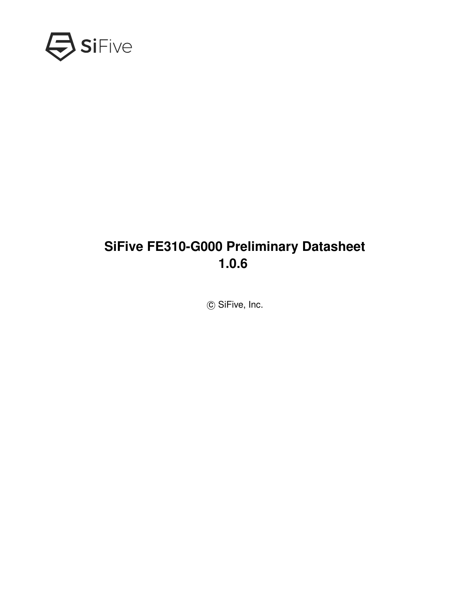<span id="page-0-0"></span>

### **SiFive FE310-G000 Preliminary Datasheet 1.0.6**

© SiFive, Inc.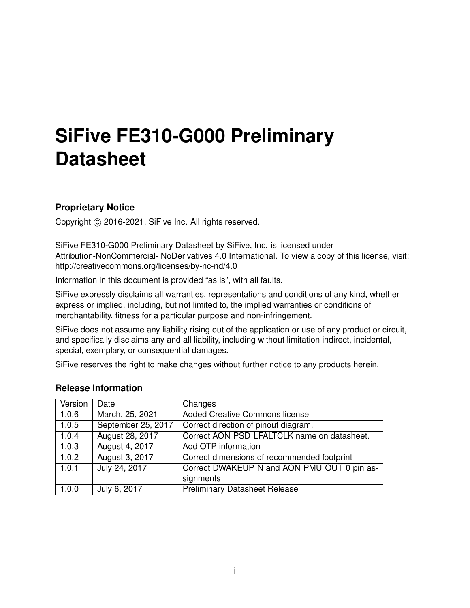# **SiFive FE310-G000 Preliminary Datasheet**

#### **Proprietary Notice**

Copyright © 2016-2021, SiFive Inc. All rights reserved.

SiFive FE310-G000 Preliminary Datasheet by SiFive, Inc. is licensed under Attribution-NonCommercial- NoDerivatives 4.0 International. To view a copy of this license, visit: http://creativecommons.org/licenses/by-nc-nd/4.0

Information in this document is provided "as is", with all faults.

SiFive expressly disclaims all warranties, representations and conditions of any kind, whether express or implied, including, but not limited to, the implied warranties or conditions of merchantability, fitness for a particular purpose and non-infringement.

SiFive does not assume any liability rising out of the application or use of any product or circuit, and specifically disclaims any and all liability, including without limitation indirect, incidental, special, exemplary, or consequential damages.

SiFive reserves the right to make changes without further notice to any products herein.

| Version | Date               | Changes                                     |
|---------|--------------------|---------------------------------------------|
| 1.0.6   | March, 25, 2021    | <b>Added Creative Commons license</b>       |
| 1.0.5   | September 25, 2017 | Correct direction of pinout diagram.        |
| 1.0.4   | August 28, 2017    | Correct AON_PSD_LFALTCLK name on datasheet. |
| 1.0.3   | August 4, 2017     | Add OTP information                         |
| 1.0.2   | August 3, 2017     | Correct dimensions of recommended footprint |
| 1.0.1   | July 24, 2017      | Correct DWAKEUP_N and AON_PMU_OUT_0 pin as- |
|         |                    | signments                                   |
| 1.0.0   | July 6, 2017       | <b>Preliminary Datasheet Release</b>        |

#### **Release Information**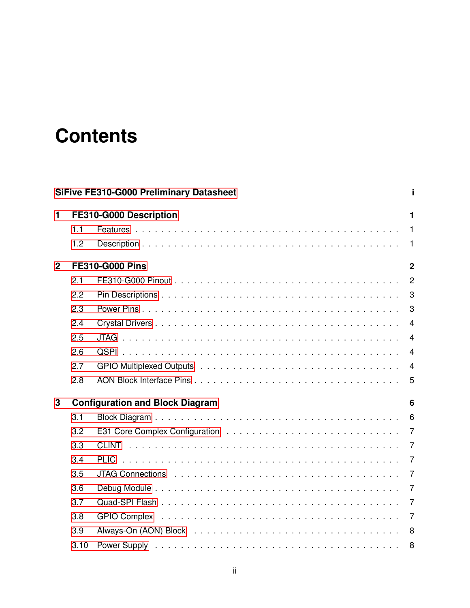# **Contents**

|     |     | $\blacksquare$                                                                                                                               |
|-----|-----|----------------------------------------------------------------------------------------------------------------------------------------------|
| 1.1 |     |                                                                                                                                              |
| 1.2 |     |                                                                                                                                              |
|     |     | $\overline{2}$                                                                                                                               |
| 2.1 |     | $\overline{2}$                                                                                                                               |
| 2.2 |     | 3                                                                                                                                            |
| 2.3 |     | 3                                                                                                                                            |
| 2.4 |     | $\overline{4}$                                                                                                                               |
| 2.5 |     | $\overline{4}$                                                                                                                               |
| 2.6 |     | $\overline{4}$                                                                                                                               |
| 2.7 |     | $\overline{4}$                                                                                                                               |
| 2.8 |     | 5                                                                                                                                            |
|     |     | 6                                                                                                                                            |
| 3.1 |     | 6                                                                                                                                            |
| 3.2 |     | 7                                                                                                                                            |
| 3.3 |     | $\overline{7}$                                                                                                                               |
| 3.4 |     | 7                                                                                                                                            |
| 3.5 |     | $\overline{7}$                                                                                                                               |
| 3.6 |     | 7                                                                                                                                            |
| 3.7 |     | $\overline{7}$                                                                                                                               |
| 3.8 |     | $\overline{7}$                                                                                                                               |
|     |     | 8                                                                                                                                            |
|     |     |                                                                                                                                              |
|     | 3.9 | <b>SiFive FE310-G000 Preliminary Datasheet</b><br>FE310-G000 Description<br><b>FE310-G000 Pins</b><br><b>Configuration and Block Diagram</b> |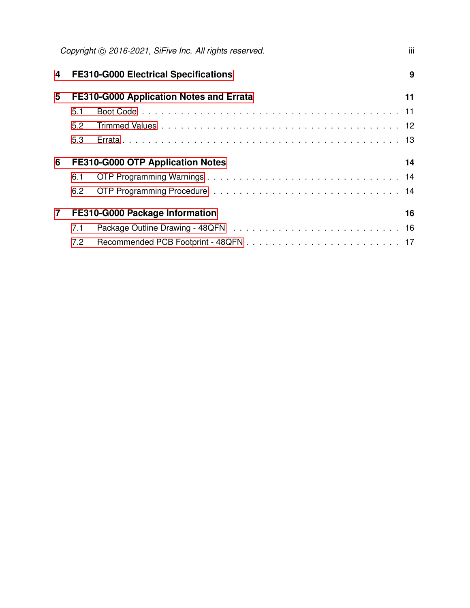|                |     | Copyright (C) 2016-2021, SiFive Inc. All rights reserved. | iii |
|----------------|-----|-----------------------------------------------------------|-----|
| 4              |     | <b>FE310-G000 Electrical Specifications</b>               | 9   |
| 5              |     | FE310-G000 Application Notes and Errata                   | 11  |
|                | 5.1 |                                                           |     |
|                | 5.2 |                                                           |     |
|                | 5.3 |                                                           |     |
| 6              |     | FE310-G000 OTP Application Notes                          | 14  |
|                | 6.1 |                                                           |     |
|                | 6.2 |                                                           |     |
| $\overline{7}$ |     | FE310-G000 Package Information                            | 16  |
|                | 7.1 |                                                           |     |
|                | 7.2 |                                                           |     |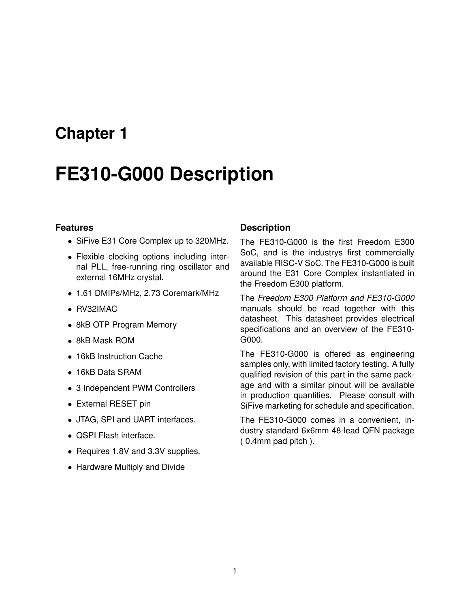## <span id="page-4-0"></span>**FE310-G000 Description**

#### <span id="page-4-1"></span>**Features**

- SiFive E31 Core Complex up to 320MHz.
- Flexible clocking options including internal PLL, free-running ring oscillator and external 16MHz crystal.
- 1.61 DMIPs/MHz, 2.73 Coremark/MHz
- RV32IMAC
- 8kB OTP Program Memory
- 8kB Mask ROM
- 16kB Instruction Cache
- 16kB Data SRAM
- 3 Independent PWM Controllers
- External RESET pin
- JTAG, SPI and UART interfaces.
- QSPI Flash interface.
- Requires 1.8V and 3.3V supplies.
- Hardware Multiply and Divide

#### <span id="page-4-2"></span>**Description**

The FE310-G000 is the first Freedom E300 SoC, and is the industrys first commercially available RISC-V SoC. The FE310-G000 is built around the E31 Core Complex instantiated in the Freedom E300 platform.

The *Freedom E300 Platform and FE310-G000* manuals should be read together with this datasheet. This datasheet provides electrical specifications and an overview of the FE310- G000.

The FE310-G000 is offered as engineering samples only, with limited factory testing. A fully qualified revision of this part in the same package and with a similar pinout will be available in production quantities. Please consult with SiFive marketing for schedule and specification.

The FE310-G000 comes in a convenient, industry standard 6x6mm 48-lead QFN package ( 0.4mm pad pitch ).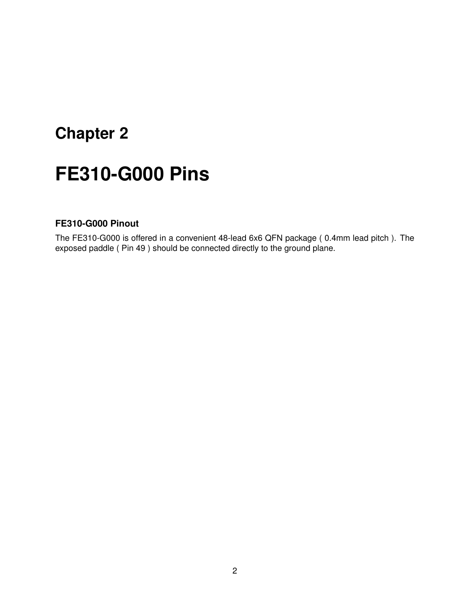# <span id="page-5-0"></span>**FE310-G000 Pins**

#### <span id="page-5-1"></span>**FE310-G000 Pinout**

The FE310-G000 is offered in a convenient 48-lead 6x6 QFN package ( 0.4mm lead pitch ). The exposed paddle ( Pin 49 ) should be connected directly to the ground plane.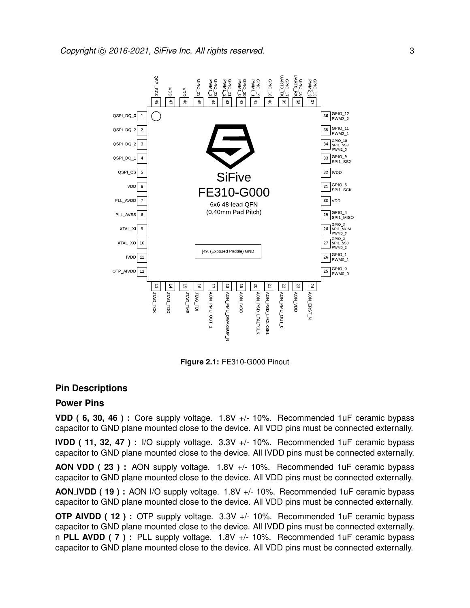

**Figure 2.1:** FE310-G000 Pinout

#### <span id="page-6-0"></span>**Pin Descriptions**

#### <span id="page-6-1"></span>**Power Pins**

**VDD ( 6, 30, 46 ) :** Core supply voltage. 1.8V +/- 10%. Recommended 1uF ceramic bypass capacitor to GND plane mounted close to the device. All VDD pins must be connected externally.

**IVDD ( 11, 32, 47 ) :** I/O supply voltage. 3.3V +/- 10%. Recommended 1uF ceramic bypass capacitor to GND plane mounted close to the device. All IVDD pins must be connected externally.

**AON VDD ( 23 ) :** AON supply voltage. 1.8V +/- 10%. Recommended 1uF ceramic bypass capacitor to GND plane mounted close to the device. All VDD pins must be connected externally.

**AON IVDD ( 19 ) :** AON I/O supply voltage. 1.8V +/- 10%. Recommended 1uF ceramic bypass capacitor to GND plane mounted close to the device. All VDD pins must be connected externally.

**OTP AIVDD ( 12 ) :** OTP supply voltage. 3.3V +/- 10%. Recommended 1uF ceramic bypass capacitor to GND plane mounted close to the device. All IVDD pins must be connected externally. n **PLL AVDD ( 7 ) :** PLL supply voltage. 1.8V +/- 10%. Recommended 1uF ceramic bypass capacitor to GND plane mounted close to the device. All VDD pins must be connected externally.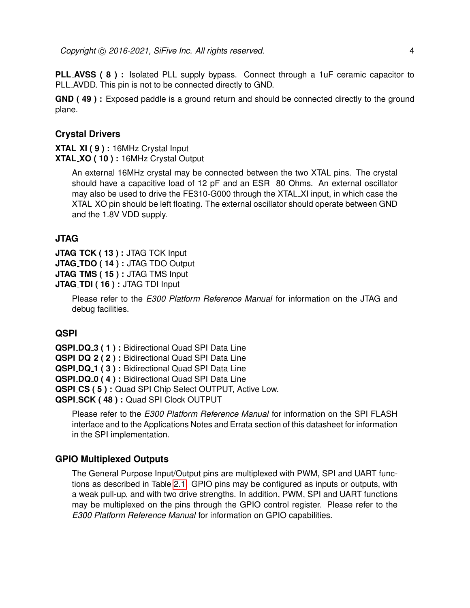**PLL AVSS ( 8 ) :** Isolated PLL supply bypass. Connect through a 1uF ceramic capacitor to PLL AVDD. This pin is not to be connected directly to GND.

**GND ( 49 ) :** Exposed paddle is a ground return and should be connected directly to the ground plane.

#### <span id="page-7-0"></span>**Crystal Drivers**

**XTAL XI ( 9 ) :** 16MHz Crystal Input **XTAL XO ( 10 ) :** 16MHz Crystal Output

> An external 16MHz crystal may be connected between the two XTAL pins. The crystal should have a capacitive load of 12 pF and an ESR 80 Ohms. An external oscillator may also be used to drive the FE310-G000 through the XTAL XI input, in which case the XTAL XO pin should be left floating. The external oscillator should operate between GND and the 1.8V VDD supply.

#### <span id="page-7-1"></span>**JTAG**

**JTAG TCK ( 13 ) :** JTAG TCK Input **JTAG TDO ( 14 ) :** JTAG TDO Output **JTAG TMS ( 15 ) :** JTAG TMS Input **JTAG TDI ( 16 ) :** JTAG TDI Input

> Please refer to the *E300 Platform Reference Manual* for information on the JTAG and debug facilities.

#### <span id="page-7-2"></span>**QSPI**

**QSPI DQ 3 ( 1 ) :** Bidirectional Quad SPI Data Line **QSPI DQ 2 ( 2 ) :** Bidirectional Quad SPI Data Line **QSPI DQ 1 ( 3 ) :** Bidirectional Quad SPI Data Line **QSPI DQ 0 ( 4 ) :** Bidirectional Quad SPI Data Line **QSPI CS ( 5 ) :** Quad SPI Chip Select OUTPUT, Active Low. **QSPI SCK ( 48 ) :** Quad SPI Clock OUTPUT

Please refer to the *E300 Platform Reference Manual* for information on the SPI FLASH interface and to the Applications Notes and Errata section of this datasheet for information in the SPI implementation.

#### <span id="page-7-3"></span>**GPIO Multiplexed Outputs**

The General Purpose Input/Output pins are multiplexed with PWM, SPI and UART functions as described in Table [2.1.](#page-8-1) GPIO pins may be configured as inputs or outputs, with a weak pull-up, and with two drive strengths. In addition, PWM, SPI and UART functions may be multiplexed on the pins through the GPIO control register. Please refer to the *E300 Platform Reference Manual* for information on GPIO capabilities.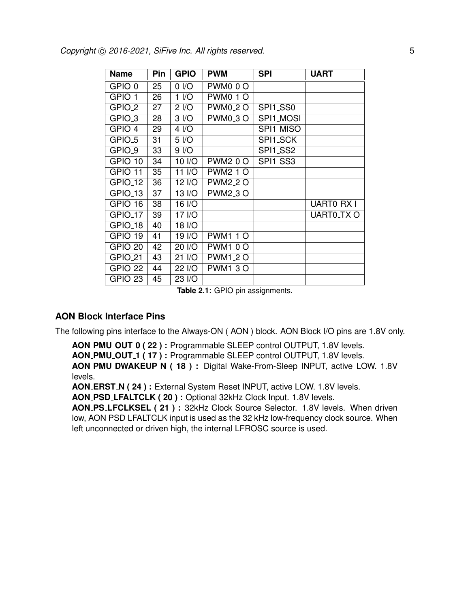<span id="page-8-1"></span>

| <b>Name</b>         | Pin | <b>GPIO</b>       | <b>PWM</b>                                                   | <b>SPI</b> | <b>UART</b> |
|---------------------|-----|-------------------|--------------------------------------------------------------|------------|-------------|
| GPIO <sub>-0</sub>  | 25  | $0$ I/O           | <b>PWM0<sub>-0</sub>O</b>                                    |            |             |
| GPIO <sub>-1</sub>  | 26  | 1 <sub>1</sub> /O | <b>PWM0<sub>-1</sub>O</b>                                    |            |             |
| GPIO <sub>-2</sub>  | 27  | 2 <sub>1</sub> /O | <b>PWM0_2 O</b>                                              | SPI1_SS0   |             |
| GPIO <sub>-3</sub>  | 28  | 3 I/O             | <b>PWM0<sub>-3</sub>O</b>                                    | SPI1_MOSI  |             |
| GPIO <sub>-4</sub>  | 29  | 4 I/O             |                                                              | SPI1_MISO  |             |
| GPIO <sub>-5</sub>  | 31  | 5 I/O             |                                                              | SPI1_SCK   |             |
| GPIO <sub>-9</sub>  | 33  | 9 <sub>1</sub> /O |                                                              | SPI1_SS2   |             |
| GPIO <sub>-10</sub> | 34  | 10 I/O            | $\overline{\text{PWM2}}$ <sub>-0</sub> $\overline{\text{O}}$ | SPI1_SS3   |             |
| GPIO <sub>-11</sub> | 35  | 11 I/O            | <b>PWM2_1 O</b>                                              |            |             |
| GPIO <sub>-12</sub> | 36  | 12 I/O            | <b>PWM2_2 O</b>                                              |            |             |
| GPIO <sub>-13</sub> | 37  | 13 I/O            | <b>PWM2_3 O</b>                                              |            |             |
| GPIO <sub>-16</sub> | 38  | 16 I/O            |                                                              |            | UARTO_RX I  |
| GPIO <sub>-17</sub> | 39  | 17 I/O            |                                                              |            | UARTO_TX O  |
| GPIO <sub>-18</sub> | 40  | 18 I/O            |                                                              |            |             |
| GPIO <sub>-19</sub> | 41  | 19 I/O            | $\overline{PWM}$ 1_1 O                                       |            |             |
| GPIO <sub>-20</sub> | 42  | 20 I/O            | <b>PWM1_0 O</b>                                              |            |             |
| GPIO <sub>_21</sub> | 43  | 21 I/O            | <b>PWM1_2 O</b>                                              |            |             |
| GPIO <sub>22</sub>  | 44  | 22 I/O            | <b>PWM1_3 O</b>                                              |            |             |
| GPIO <sub>23</sub>  | 45  | 23 I/O            |                                                              |            |             |

**Table 2.1:** GPIO pin assignments.

#### <span id="page-8-0"></span>**AON Block Interface Pins**

The following pins interface to the Always-ON ( AON ) block. AON Block I/O pins are 1.8V only.

**AON PMU OUT 0 ( 22 ) :** Programmable SLEEP control OUTPUT, 1.8V levels.

**AON PMU OUT 1 ( 17 ) :** Programmable SLEEP control OUTPUT, 1.8V levels.

**AON PMU DWAKEUP N ( 18 ) :** Digital Wake-From-Sleep INPUT, active LOW. 1.8V levels.

**AON ERST N ( 24 ) :** External System Reset INPUT, active LOW. 1.8V levels.

**AON PSD LFALTCLK ( 20 ) :** Optional 32kHz Clock Input. 1.8V levels.

**AON PS LFCLKSEL ( 21 ) :** 32kHz Clock Source Selector. 1.8V levels. When driven low, AON PSD LFALTCLK input is used as the 32 kHz low-frequency clock source. When left unconnected or driven high, the internal LFROSC source is used.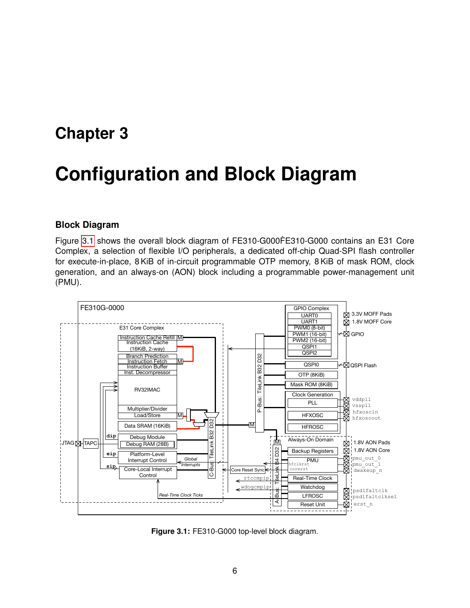## <span id="page-9-0"></span>**Configuration and Block Diagram**

#### <span id="page-9-1"></span>**Block Diagram**

Figure [3.1](#page-9-2) shows the overall block diagram of FE310-G000FE310-G000 contains an E31 Core Complex, a selection of flexible I/O peripherals, a dedicated off-chip Quad-SPI flash controller for execute-in-place, 8 KiB of in-circuit programmable OTP memory, 8 KiB of mask ROM, clock generation, and an always-on (AON) block including a programmable power-management unit (PMU).

<span id="page-9-2"></span>

**Figure 3.1:** FE310-G000 top-level block diagram.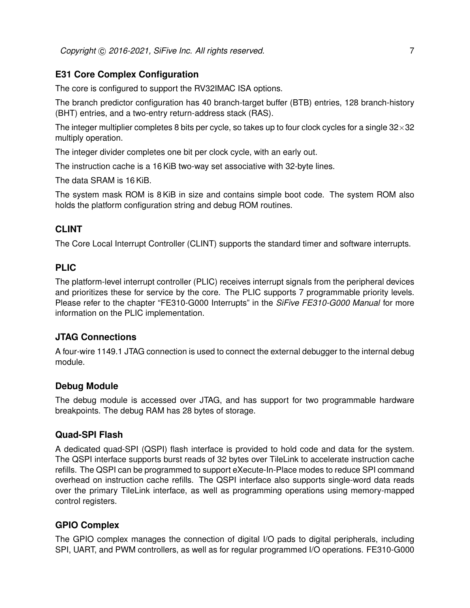#### <span id="page-10-0"></span>**E31 Core Complex Configuration**

The core is configured to support the RV32IMAC ISA options.

The branch predictor configuration has 40 branch-target buffer (BTB) entries, 128 branch-history (BHT) entries, and a two-entry return-address stack (RAS).

The integer multiplier completes 8 bits per cycle, so takes up to four clock cycles for a single  $32\times32$ multiply operation.

The integer divider completes one bit per clock cycle, with an early out.

The instruction cache is a 16 KiB two-way set associative with 32-byte lines.

The data SRAM is 16 KiB.

The system mask ROM is 8 KiB in size and contains simple boot code. The system ROM also holds the platform configuration string and debug ROM routines.

#### <span id="page-10-1"></span>**CLINT**

The Core Local Interrupt Controller (CLINT) supports the standard timer and software interrupts.

#### <span id="page-10-2"></span>**PLIC**

The platform-level interrupt controller (PLIC) receives interrupt signals from the peripheral devices and prioritizes these for service by the core. The PLIC supports 7 programmable priority levels. Please refer to the chapter "FE310-G000 Interrupts" in the *SiFive FE310-G000 Manual* for more information on the PLIC implementation.

#### <span id="page-10-3"></span>**JTAG Connections**

A four-wire 1149.1 JTAG connection is used to connect the external debugger to the internal debug module.

#### <span id="page-10-4"></span>**Debug Module**

The debug module is accessed over JTAG, and has support for two programmable hardware breakpoints. The debug RAM has 28 bytes of storage.

#### <span id="page-10-5"></span>**Quad-SPI Flash**

A dedicated quad-SPI (QSPI) flash interface is provided to hold code and data for the system. The QSPI interface supports burst reads of 32 bytes over TileLink to accelerate instruction cache refills. The QSPI can be programmed to support eXecute-In-Place modes to reduce SPI command overhead on instruction cache refills. The QSPI interface also supports single-word data reads over the primary TileLink interface, as well as programming operations using memory-mapped control registers.

#### <span id="page-10-6"></span>**GPIO Complex**

The GPIO complex manages the connection of digital I/O pads to digital peripherals, including SPI, UART, and PWM controllers, as well as for regular programmed I/O operations. FE310-G000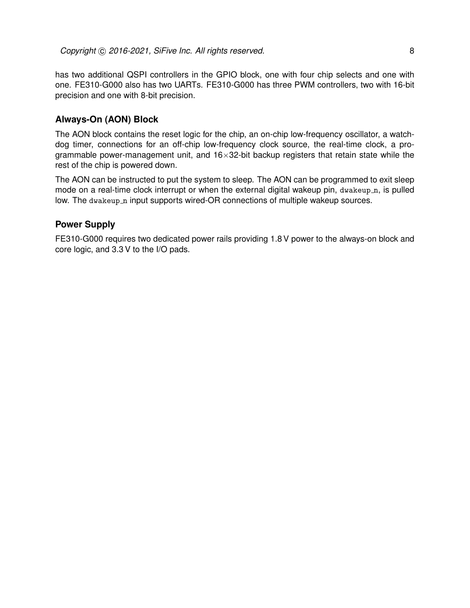has two additional QSPI controllers in the GPIO block, one with four chip selects and one with one. FE310-G000 also has two UARTs. FE310-G000 has three PWM controllers, two with 16-bit precision and one with 8-bit precision.

#### <span id="page-11-0"></span>**Always-On (AON) Block**

The AON block contains the reset logic for the chip, an on-chip low-frequency oscillator, a watchdog timer, connections for an off-chip low-frequency clock source, the real-time clock, a programmable power-management unit, and  $16\times32$ -bit backup registers that retain state while the rest of the chip is powered down.

The AON can be instructed to put the system to sleep. The AON can be programmed to exit sleep mode on a real-time clock interrupt or when the external digital wakeup pin, dwakeup n, is pulled low. The dwakeup n input supports wired-OR connections of multiple wakeup sources.

#### <span id="page-11-1"></span>**Power Supply**

FE310-G000 requires two dedicated power rails providing 1.8 V power to the always-on block and core logic, and 3.3 V to the I/O pads.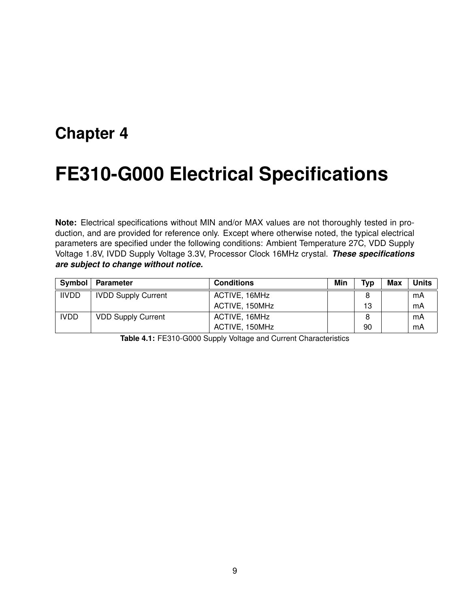## <span id="page-12-0"></span>**FE310-G000 Electrical Specifications**

**Note:** Electrical specifications without MIN and/or MAX values are not thoroughly tested in production, and are provided for reference only. Except where otherwise noted, the typical electrical parameters are specified under the following conditions: Ambient Temperature 27C, VDD Supply Voltage 1.8V, IVDD Supply Voltage 3.3V, Processor Clock 16MHz crystal. *These specifications are subject to change without notice.*

| Symbol       | Parameter                  | <b>Conditions</b> | Min | Typ | <b>Max</b> | <b>Units</b> |
|--------------|----------------------------|-------------------|-----|-----|------------|--------------|
| <b>IIVDD</b> | <b>IVDD Supply Current</b> | ACTIVE, 16MHz     |     |     |            | mA           |
|              |                            | ACTIVE, 150MHz    |     | 13  |            | mA           |
| <b>IVDD</b>  | <b>VDD Supply Current</b>  | ACTIVE, 16MHz     |     |     |            | mA           |
|              |                            | ACTIVE, 150MHz    |     | 90  |            | mA           |

**Table 4.1:** FE310-G000 Supply Voltage and Current Characteristics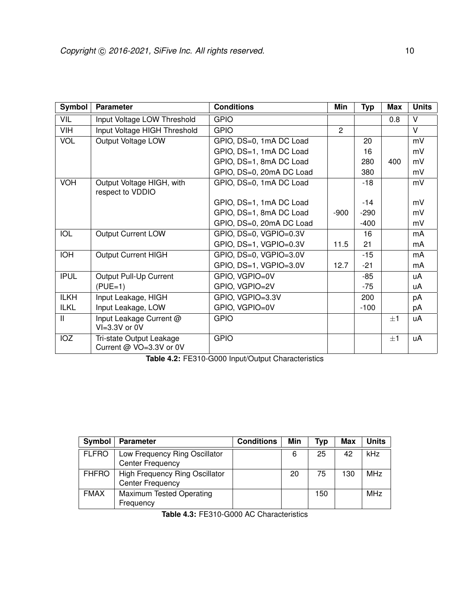| Symbol       | <b>Parameter</b>                                    | <b>Conditions</b>        | Min            | <b>Typ</b> | <b>Max</b> | <b>Units</b> |
|--------------|-----------------------------------------------------|--------------------------|----------------|------------|------------|--------------|
| VIL          | Input Voltage LOW Threshold                         | <b>GPIO</b>              |                |            | 0.8        | V            |
| VIH          | Input Voltage HIGH Threshold                        | <b>GPIO</b>              | $\overline{2}$ |            |            | $\vee$       |
| VOL          | Output Voltage LOW                                  | GPIO, DS=0, 1mA DC Load  |                | 20         |            | mV           |
|              |                                                     | GPIO, DS=1, 1mA DC Load  |                | 16         |            | mV           |
|              |                                                     | GPIO, DS=1, 8mA DC Load  |                | 280        | 400        | mV           |
|              |                                                     | GPIO, DS=0, 20mA DC Load |                | 380        |            | mV           |
| <b>VOH</b>   | Output Voltage HIGH, with                           | GPIO, DS=0, 1mA DC Load  |                | $-18$      |            | mV           |
|              | respect to VDDIO                                    |                          |                |            |            |              |
|              |                                                     | GPIO, DS=1, 1mA DC Load  |                | $-14$      |            | mV           |
|              |                                                     | GPIO, DS=1, 8mA DC Load  | $-900$         | $-290$     |            | mV           |
|              |                                                     | GPIO, DS=0, 20mA DC Load |                | $-400$     |            | mV           |
| <b>IOL</b>   | <b>Output Current LOW</b>                           | GPIO, DS=0, VGPIO=0.3V   |                | 16         |            | mA           |
|              |                                                     | GPIO, DS=1, VGPIO=0.3V   | 11.5           | 21         |            | mA           |
| <b>IOH</b>   | <b>Output Current HIGH</b>                          | GPIO, DS=0, VGPIO=3.0V   |                | $-15$      |            | mA           |
|              |                                                     | GPIO, DS=1, VGPIO=3.0V   | 12.7           | $-21$      |            | mA           |
| <b>IPUL</b>  | Output Pull-Up Current                              | GPIO, VGPIO=0V           |                | -85        |            | uA           |
|              | $(PUE=1)$                                           | GPIO, VGPIO=2V           |                | $-75$      |            | uA           |
| <b>ILKH</b>  | Input Leakage, HIGH                                 | GPIO, VGPIO=3.3V         |                | 200        |            | pA           |
| <b>ILKL</b>  | Input Leakage, LOW                                  | GPIO, VGPIO=0V           |                | $-100$     |            | рA           |
| $\mathsf{I}$ | Input Leakage Current @<br>VI=3.3V or 0V            | <b>GPIO</b>              |                |            | $+1$       | uA           |
| IOZ          | Tri-state Output Leakage<br>Current @ VO=3.3V or 0V | <b>GPIO</b>              |                |            | $+1$       | uA           |

**Table 4.2:** FE310-G000 Input/Output Characteristics

| Symbol       | <b>Parameter</b>                                                 | <b>Conditions</b> | Min | Tvp | Max | <b>Units</b> |
|--------------|------------------------------------------------------------------|-------------------|-----|-----|-----|--------------|
| <b>FLFRO</b> | Low Frequency Ring Oscillator<br><b>Center Frequency</b>         |                   | 6   | 25  | 42  | kHz          |
| <b>FHFRO</b> | <b>High Frequency Ring Oscillator</b><br><b>Center Frequency</b> |                   | 20  | 75  | 130 | <b>MHz</b>   |
| <b>FMAX</b>  | Maximum Tested Operating<br>Frequency                            |                   |     | 150 |     | <b>MHz</b>   |

**Table 4.3:** FE310-G000 AC Characteristics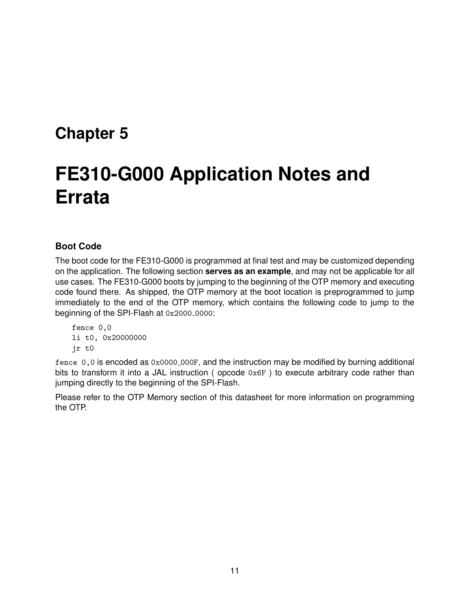# <span id="page-14-0"></span>**FE310-G000 Application Notes and Errata**

#### <span id="page-14-1"></span>**Boot Code**

The boot code for the FE310-G000 is programmed at final test and may be customized depending on the application. The following section **serves as an example**, and may not be applicable for all use cases. The FE310-G000 boots by jumping to the beginning of the OTP memory and executing code found there. As shipped, the OTP memory at the boot location is preprogrammed to jump immediately to the end of the OTP memory, which contains the following code to jump to the beginning of the SPI-Flash at  $0x2000_00000$ :

fence 0,0 li t0, 0x20000000 jr t0

fence 0,0 is encoded as 0x0000 000F, and the instruction may be modified by burning additional bits to transform it into a JAL instruction ( opcode 0x6F ) to execute arbitrary code rather than jumping directly to the beginning of the SPI-Flash.

Please refer to the OTP Memory section of this datasheet for more information on programming the OTP.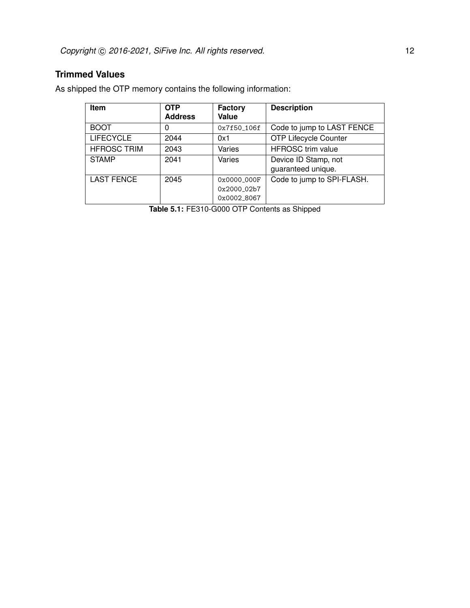#### <span id="page-15-0"></span>**Trimmed Values**

As shipped the OTP memory contains the following information:

| <b>Item</b>        | <b>OTP</b><br><b>Address</b> | Factory<br>Value                          | <b>Description</b>                         |
|--------------------|------------------------------|-------------------------------------------|--------------------------------------------|
| <b>BOOT</b>        | 0                            | 0x7f50_106f                               | Code to jump to LAST FENCE                 |
| <b>LIFECYCLE</b>   | 2044                         | 0x1                                       | <b>OTP Lifecycle Counter</b>               |
| <b>HFROSC TRIM</b> | 2043                         | Varies                                    | <b>HFROSC</b> trim value                   |
| <b>STAMP</b>       | 2041                         | Varies                                    | Device ID Stamp, not<br>guaranteed unique. |
| <b>LAST FENCE</b>  | 2045                         | 0x0000 000F<br>0x2000_02b7<br>0x0002_8067 | Code to jump to SPI-FLASH.                 |

**Table 5.1:** FE310-G000 OTP Contents as Shipped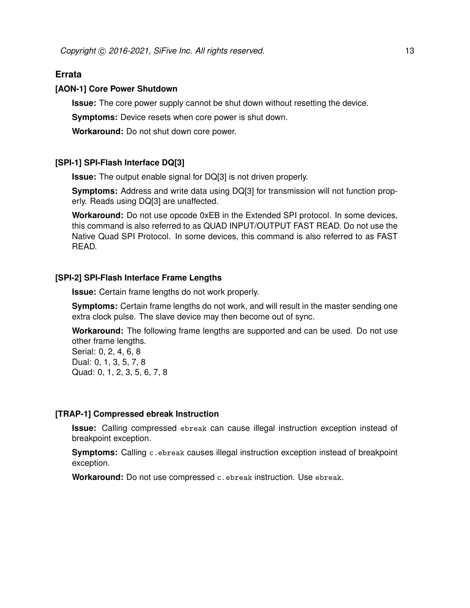#### <span id="page-16-0"></span>**Errata**

#### **[AON-1] Core Power Shutdown**

**Issue:** The core power supply cannot be shut down without resetting the device.

**Symptoms:** Device resets when core power is shut down.

**Workaround:** Do not shut down core power.

#### **[SPI-1] SPI-Flash Interface DQ[3]**

**Issue:** The output enable signal for DQ[3] is not driven properly.

**Symptoms:** Address and write data using DQ[3] for transmission will not function properly. Reads using DQ[3] are unaffected.

**Workaround:** Do not use opcode 0xEB in the Extended SPI protocol. In some devices, this command is also referred to as QUAD INPUT/OUTPUT FAST READ. Do not use the Native Quad SPI Protocol. In some devices, this command is also referred to as FAST READ.

#### **[SPI-2] SPI-Flash Interface Frame Lengths**

**Issue:** Certain frame lengths do not work properly.

**Symptoms:** Certain frame lengths do not work, and will result in the master sending one extra clock pulse. The slave device may then become out of sync.

**Workaround:** The following frame lengths are supported and can be used. Do not use other frame lengths. Serial: 0, 2, 4, 6, 8 Dual: 0, 1, 3, 5, 7, 8

Quad: 0, 1, 2, 3, 5, 6, 7, 8

#### **[TRAP-1] Compressed ebreak Instruction**

**Issue:** Calling compressed ebreak can cause illegal instruction exception instead of breakpoint exception.

**Symptoms:** Calling c.ebreak causes illegal instruction exception instead of breakpoint exception.

**Workaround:** Do not use compressed c.ebreak instruction. Use ebreak.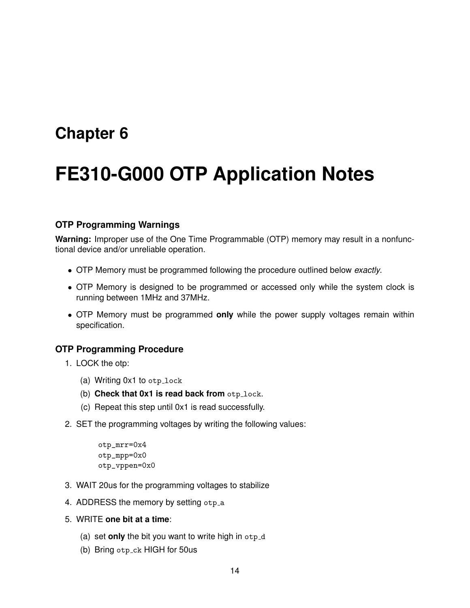## <span id="page-17-0"></span>**FE310-G000 OTP Application Notes**

#### <span id="page-17-1"></span>**OTP Programming Warnings**

**Warning:** Improper use of the One Time Programmable (OTP) memory may result in a nonfunctional device and/or unreliable operation.

- OTP Memory must be programmed following the procedure outlined below *exactly*.
- OTP Memory is designed to be programmed or accessed only while the system clock is running between 1MHz and 37MHz.
- OTP Memory must be programmed **only** while the power supply voltages remain within specification.

#### <span id="page-17-2"></span>**OTP Programming Procedure**

- 1. LOCK the otp:
	- (a) Writing  $0x1$  to  $otp\_lock$
	- (b) **Check that 0x1 is read back from** otp\_lock.
	- (c) Repeat this step until 0x1 is read successfully.
- 2. SET the programming voltages by writing the following values:

```
otp_mrr=0x4
otp_mpp=0x0
otp_vppen=0x0
```
- 3. WAIT 20us for the programming voltages to stabilize
- 4. ADDRESS the memory by setting otp\_a
- 5. WRITE **one bit at a time**:
	- (a) set **only** the bit you want to write high in  $otp_{d}$
	- (b) Bring otp ck HIGH for 50us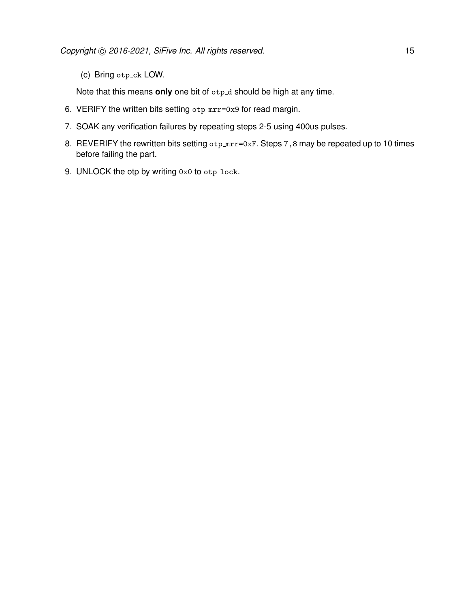(c) Bring otp\_ck LOW.

Note that this means only one bit of otp<sub>-d</sub> should be high at any time.

- 6. VERIFY the written bits setting otp\_mrr=0x9 for read margin.
- 7. SOAK any verification failures by repeating steps 2-5 using 400us pulses.
- 8. REVERIFY the rewritten bits setting otp\_mrr=0xF. Steps 7,8 may be repeated up to 10 times before failing the part.
- 9. UNLOCK the otp by writing 0x0 to otp\_lock.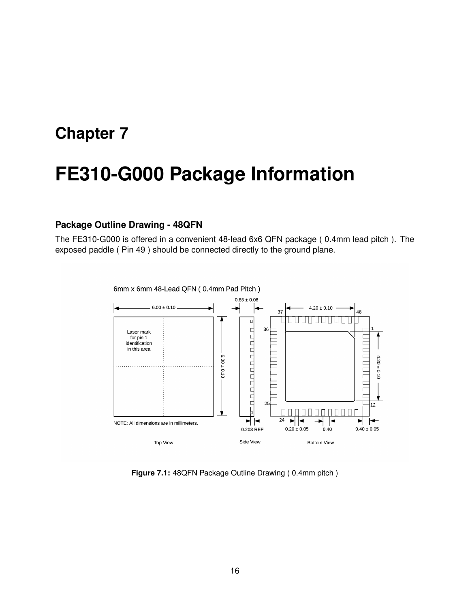## <span id="page-19-0"></span>**FE310-G000 Package Information**

#### <span id="page-19-1"></span>**Package Outline Drawing - 48QFN**

The FE310-G000 is offered in a convenient 48-lead 6x6 QFN package ( 0.4mm lead pitch ). The exposed paddle ( Pin 49 ) should be connected directly to the ground plane.



6mm x 6mm 48-Lead QFN (0.4mm Pad Pitch)

**Figure 7.1:** 48QFN Package Outline Drawing ( 0.4mm pitch )